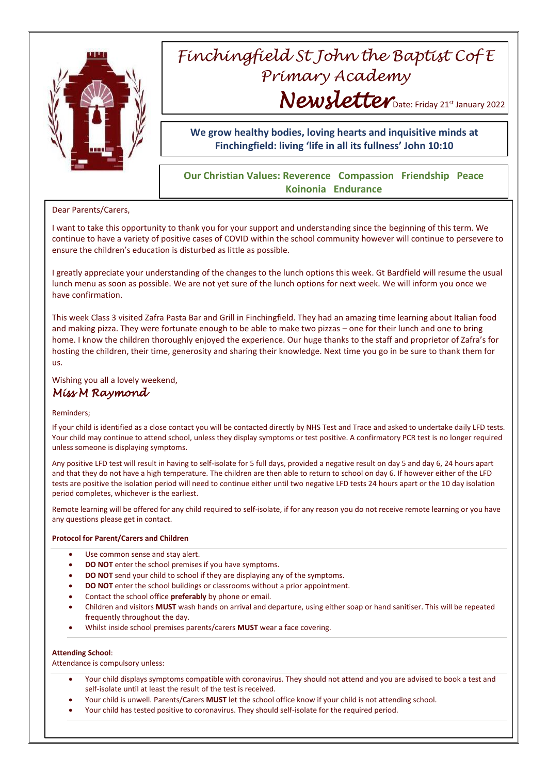

# *Finchingfield St John the Baptist Cof E Primary Academy* Newsletter Date: Friday 21st January 2022

**We grow healthy bodies, loving hearts and inquisitive minds at Finchingfield: living 'life in all its fullness' John 10:10**

## **Our Christian Values: Reverence Compassion Friendship Peace Koinonia Endurance**

### Dear Parents/Carers,

I want to take this opportunity to thank you for your support and understanding since the beginning of this term. We continue to have a variety of positive cases of COVID within the school community however will continue to persevere to ensure the children's education is disturbed as little as possible.

I greatly appreciate your understanding of the changes to the lunch options this week. Gt Bardfield will resume the usual lunch menu as soon as possible. We are not yet sure of the lunch options for next week. We will inform you once we have confirmation.

This week Class 3 visited Zafra Pasta Bar and Grill in Finchingfield. They had an amazing time learning about Italian food and making pizza. They were fortunate enough to be able to make two pizzas – one for their lunch and one to bring home. I know the children thoroughly enjoyed the experience. Our huge thanks to the staff and proprietor of Zafra's for hosting the children, their time, generosity and sharing their knowledge. Next time you go in be sure to thank them for us.

Wishing you all a lovely weekend, *Miss M Raymond* 

#### Reminders;

If your child is identified as a close contact you will be contacted directly by NHS Test and Trace and asked to undertake daily LFD tests. Your child may continue to attend school, unless they display symptoms or test positive. A confirmatory PCR test is no longer required unless someone is displaying symptoms.

Any positive LFD test will result in having to self-isolate for 5 full days, provided a negative result on day 5 and day 6, 24 hours apart and that they do not have a high temperature. The children are then able to return to school on day 6. If however either of the LFD tests are positive the isolation period will need to continue either until two negative LFD tests 24 hours apart or the 10 day isolation period completes, whichever is the earliest.

Remote learning will be offered for any child required to self-isolate, if for any reason you do not receive remote learning or you have any questions please get in contact.

#### **Protocol for Parent/Carers and Children**

- Use common sense and stay alert.
- **DO NOT** enter the school premises if you have symptoms.
- **DO NOT** send your child to school if they are displaying any of the symptoms.
- **DO NOT** enter the school buildings or classrooms without a prior appointment.
- Contact the school office **preferably** by phone or email.
- Children and visitors **MUST** wash hands on arrival and departure, using either soap or hand sanitiser. This will be repeated frequently throughout the day.
- Whilst inside school premises parents/carers **MUST** wear a face covering.

#### **Attending School**:

Attendance is compulsory unless:

- Your child displays symptoms compatible with coronavirus. They should not attend and you are advised to book a test and self-isolate until at least the result of the test is received.
- Your child is unwell. Parents/Carers **MUST** let the school office know if your child is not attending school.
- Your child has tested positive to coronavirus. They should self-isolate for the required period.